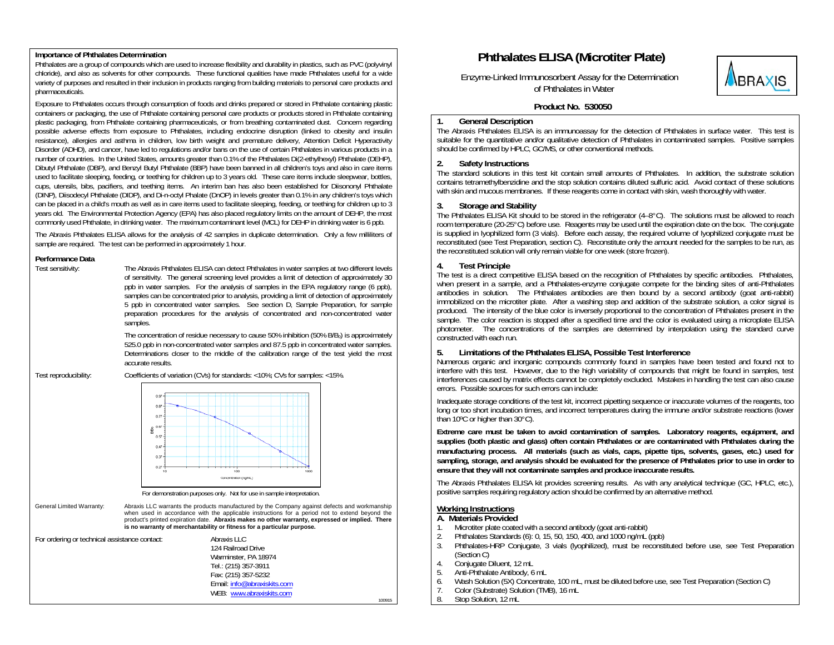## **Importance of Phthalates Determination**

Phthalates are a group of compounds which are used to increase flexibility and durability in plastics, such as PVC (polyvinyl chloride), and also as solvents for other compounds. These functional qualities have made Phthalates useful for a wide variety of purposes and resulted in their inclusion in products ranging from building materials to personal care products and pharmaceuticals.

Exposure to Phthalates occurs through consumption of foods and drinks prepared or stored in Phthalate containing plastic containers or packaging, the use of Phthalate containing personal care products or products stored in Phthalate containing plastic packaging, from Phthalate containing pharmaceuticals, or from breathing contaminated dust. Concern regarding possible adverse effects from exposure to Phthalates, including endocrine disruption (linked to obesity and insulin resistance), allergies and asthma in children, low birth weight and premature delivery, Attention Deficit Hyperactivity Disorder (ADHD), and cancer, have led to regulations and/or bans on the use of certain Phthalates in various products in a number of countries. In the United States, amounts greater than 0.1% of the Phthalates Di(2-ethylhexyl) Phthalate (DEHP), Dibutyl Phthalate (DBP), and Benzyl Butyl Phthalate (BBP) have been banned in all children's toys and also in care items used to facilitate sleeping, feeding, or teething for children up to 3 years old. These care items include sleepwear, bottles, cups, utensils, bibs, pacifiers, and teething items. An interim ban has also been established for Diisononyl Phthalate (DINP), Diisodecyl Phthalate (DIDP), and Di-n-octyl Phalate (DnOP) in levels greater than 0.1% in any children's toys which can be placed in a child's mouth as well as in care items used to facilitate sleeping, feeding, or teething for children up to 3 years old. The Environmental Protection Agency (EPA) has also placed regulatory limits on the amount of DEHP, the most commonly used Phthalate, in drinking water. The maximum contaminant level (MCL) for DEHP in drinking water is 6 ppb.

The Abraxis Phthalates ELISA allows for the analysis of 42 samples in duplicate determination. Only a few milliliters of sample are required. The test can be performed in approximately 1 hour.

#### **Performance Data**

Test sensitivity: The Abraxis Phthalates ELISA can detect Phthalates in water samples at two different levels of sensitivity. The general screening level provides a limit of detection of approximately 30 ppb in water samples. For the analysis of samples in the EPA regulatory range (6 ppb), samples can be concentrated prior to analysis, providing a limit of detection of approximately 5 ppb in concentrated water samples. See section D, Sample Preparation, for sample preparation procedures for the analysis of concentrated and non-concentrated water samples.

> The concentration of residue necessary to cause 50% inhibition (50% B/B<sub>0</sub>) is approximately 525.0 ppb in non-concentrated water samples and 87.5 ppb in concentrated water samples. Determinations closer to the middle of the calibration range of the test yield the most accurate results.

Test reproducibility: Coefficients of variation (CVs) for standards: <10%; CVs for samples: <15%.



For demonstration purposes only. Not for use in sample interpretation.

General Limited Warranty: Abraxis LLC warrants the products manufactured by the Company against defects and workmanship when used in accordance with the applicable instructions for a period not to extend beyond the product's printed expiration date. **Abraxis makes no other warranty, expressed or implied. There is no warranty of merchantability or fitness for a particular purpose.**

| For ordering or technical assistance contact: | Abraxis LLC                 |        |
|-----------------------------------------------|-----------------------------|--------|
|                                               | 124 Railroad Drive          |        |
|                                               | Warminster, PA 18974        |        |
|                                               | Tel.: (215) 357-3911        |        |
|                                               | Fax: (215) 357-5232         |        |
|                                               | Email: info@abraxiskits.com |        |
|                                               | WEB: www.abraxiskits.com    |        |
|                                               |                             | 100915 |

# **Phthalates ELISA (Microtiter Plate)**

Enzyme-Linked Immunosorbent Assay for the Determination of Phthalates in Water



# **Product No. 530050**

## **1. General Description**

The Abraxis Phthalates ELISA is an immunoassay for the detection of Phthalates in surface water. This test is suitable for the quantitative and/or qualitative detection of Phthalates in contaminated samples. Positive samples should be confirmed by HPLC, GC/MS, or other conventional methods.

## **2. Safety Instructions**

The standard solutions in this test kit contain small amounts of Phthalates. In addition, the substrate solution contains tetramethylbenzidine and the stop solution contains diluted sulfuric acid. Avoid contact of these solutions with skin and mucous membranes. If these reagents come in contact with skin, wash thoroughly with water.

## **3. Storage and Stability**

The Phthalates ELISA Kit should to be stored in the refrigerator (4–8°C). The solutions must be allowed to reach room temperature (20-25°C) before use. Reagents may be used until the expiration date on the box. The conjugate is supplied in lyophilized form (3 vials). Before each assay, the required volume of lyophilized conjugate must be reconstituted (see Test Preparation, section C). Reconstitute only the amount needed for the samples to be run, as the reconstituted solution will only remain viable for one week (store frozen).

## **4. Test Principle**

The test is a direct competitive ELISA based on the recognition of Phthalates by specific antibodies. Phthalates, when present in a sample, and a Phthalates-enzyme conjugate compete for the binding sites of anti-Phthalates antibodies in solution. The Phthalates antibodies are then bound by a second antibody (goat anti-rabbit) immobilized on the microtiter plate. After a washing step and addition of the substrate solution. a color signal is produced. The intensity of the blue color is inversely proportional to the concentration of Phthalates present in the sample. The color reaction is stopped after a specified time and the color is evaluated using a microplate ELISA photometer. The concentrations of the samples are determined by interpolation using the standard curve constructed with each run.

## **5. Limitations of the Phthalates ELISA, Possible Test Interference**

Numerous organic and inorganic compounds commonly found in samples have been tested and found not to interfere with this test. However, due to the high variability of compounds that might be found in samples, test interferences caused by matrix effects cannot be completely excluded. Mistakes in handling the test can also cause errors. Possible sources for such errors can include:

Inadequate storage conditions of the test kit, incorrect pipetting sequence or inaccurate volumes of the reagents, too long or too short incubation times, and incorrect temperatures during the immune and/or substrate reactions (lower than 10°C or higher than 30°C).

**Extreme care must be taken to avoid contamination of samples. Laboratory reagents, equipment, and supplies (both plastic and glass) often contain Phthalates or are contaminated with Phthalates during the manufacturing process. All materials (such as vials, caps, pipette tips, solvents, gases, etc.) used for sampling, storage, and analysis should be evaluated for the presence of Phthalates prior to use in order to ensure that they will not contaminate samples and produce inaccurate results.** 

The Abraxis Phthalates ELISA kit provides screening results. As with any analytical technique (GC, HPLC, etc.), positive samples requiring regulatory action should be confirmed by an alternative method.

# **Working Instructions**

- **A. Materials Provided**
- 1. Microtiter plate coated with a second antibody (goat anti-rabbit)<br>2. Phthalates Standards (6): 0, 15, 50, 150, 400, and 1000 ng/mL
- 2. Phthalates Standards (6): 0, 15, 50, 150, 400, and 1000 ng/mL (ppb)
- 3. Phthalates-HRP Conjugate, 3 vials (lyophilized), must be reconstituted before use, see Test Preparation (Section C)
- 4. Conjugate Diluent, 12 mL
- 5. Anti-Phthalate Antibody, 6 mL<br>6. Wash Solution (5X) Concentra
- 6. Wash Solution (5X) Concentrate, 100 mL, must be diluted before use, see Test Preparation (Section C)
- 7. Color (Substrate) Solution (TMB), 16 mL
- 8. Stop Solution, 12 mL